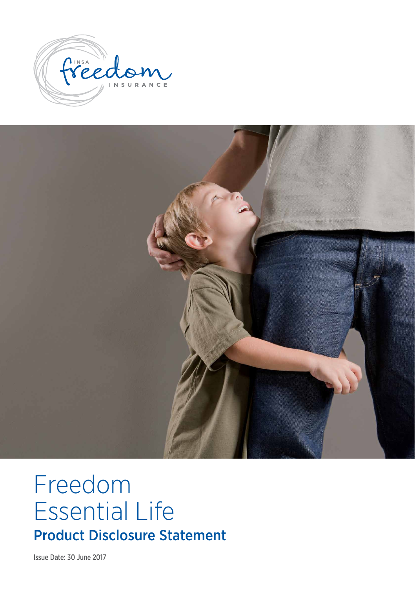



# Freedom Essential Life Product Disclosure Statement

Issue Date: 30 June 2017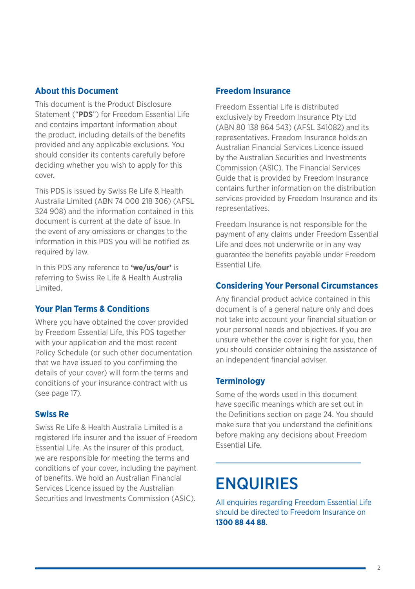#### **About this Document**

This document is the Product Disclosure Statement ("**PDS**") for Freedom Essential Life and contains important information about the product, including details of the benefits provided and any applicable exclusions. You should consider its contents carefully before deciding whether you wish to apply for this cover.

This PDS is issued by Swiss Re Life & Health Australia Limited (ABN 74 000 218 306) (AFSL 324 908) and the information contained in this document is current at the date of issue. In the event of any omissions or changes to the information in this PDS you will be notified as required by law.

In this PDS any reference to **'we/us/our'** is referring to Swiss Re Life & Health Australia Limited.

#### **Your Plan Terms & Conditions**

Where you have obtained the cover provided by Freedom Essential Life, this PDS together with your application and the most recent Policy Schedule (or such other documentation that we have issued to you confirming the details of your cover) will form the terms and conditions of your insurance contract with us (see page 17).

#### **Swiss Re**

Swiss Re Life & Health Australia Limited is a registered life insurer and the issuer of Freedom Essential Life. As the insurer of this product, we are responsible for meeting the terms and conditions of your cover, including the payment of benefits. We hold an Australian Financial Services Licence issued by the Australian Securities and Investments Commission (ASIC).

#### **Freedom Insurance**

Freedom Essential Life is distributed exclusively by Freedom Insurance Pty Ltd (ABN 80 138 864 543) (AFSL 341082) and its representatives. Freedom Insurance holds an Australian Financial Services Licence issued by the Australian Securities and Investments Commission (ASIC). The Financial Services Guide that is provided by Freedom Insurance contains further information on the distribution services provided by Freedom Insurance and its representatives.

Freedom Insurance is not responsible for the payment of any claims under Freedom Essential Life and does not underwrite or in any way guarantee the benefits payable under Freedom Essential Life.

## **Considering Your Personal Circumstances**

Any financial product advice contained in this document is of a general nature only and does not take into account your financial situation or your personal needs and objectives. If you are unsure whether the cover is right for you, then you should consider obtaining the assistance of an independent financial adviser.

#### **Terminology**

Some of the words used in this document have specific meanings which are set out in the Definitions section on page 24. You should make sure that you understand the definitions before making any decisions about Freedom Essential Life.

## ENQUIRIES

All enquiries regarding Freedom Essential Life should be directed to Freedom Insurance on **1300 88 44 88**.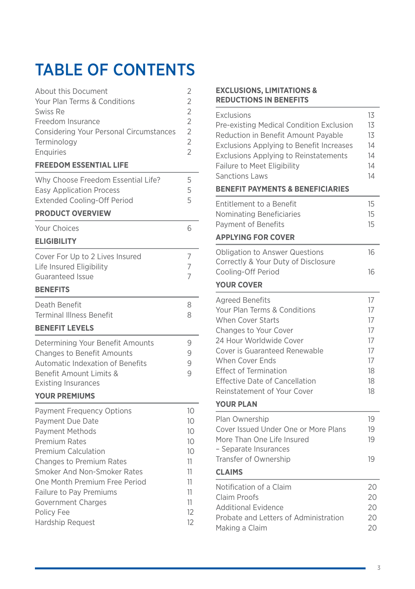## TABLE OF CONTENTS

| About this Document<br>Your Plan Terms & Conditions<br>Swiss Re<br>Freedom Insurance<br>Considering Your Personal Circumstances<br>Terminology<br>Enquiries<br><b>FREEDOM ESSENTIAL LIFE</b>                                                                                                                                      | 2<br>$\overline{2}$<br>$\overline{2}$<br>$\overline{2}$<br>$\overline{2}$<br>$\overline{2}$<br>$\overline{2}$ |
|-----------------------------------------------------------------------------------------------------------------------------------------------------------------------------------------------------------------------------------------------------------------------------------------------------------------------------------|---------------------------------------------------------------------------------------------------------------|
| Why Choose Freedom Essential Life?<br><b>Easy Application Process</b><br><b>Extended Cooling-Off Period</b><br><b>PRODUCT OVERVIEW</b>                                                                                                                                                                                            | 5<br>5<br>5                                                                                                   |
| Your Choices<br><b>ELIGIBILITY</b>                                                                                                                                                                                                                                                                                                | 6                                                                                                             |
| Cover For Up to 2 Lives Insured<br>Life Insured Eligibility<br><b>Guaranteed Issue</b>                                                                                                                                                                                                                                            | 7<br>7<br>7                                                                                                   |
| <b>BENEFITS</b><br>Death Benefit<br><b>Terminal Illness Benefit</b>                                                                                                                                                                                                                                                               | 8<br>8                                                                                                        |
| <b>BENEFIT LEVELS</b><br>Determining Your Benefit Amounts<br><b>Changes to Benefit Amounts</b><br><b>Automatic Indexation of Benefits</b><br>Benefit Amount Limits &<br><b>Existing Insurances</b><br><b>YOUR PREMIUMS</b>                                                                                                        | 9<br>9<br>9<br>9                                                                                              |
| <b>Payment Frequency Options</b><br>Payment Due Date<br><b>Payment Methods</b><br><b>Premium Rates</b><br><b>Premium Calculation</b><br><b>Changes to Premium Rates</b><br>Smoker And Non-Smoker Rates<br>One Month Premium Free Period<br>Failure to Pay Premiums<br>Government Charges<br>Policy Fee<br><b>Hardship Request</b> | 10<br>10<br>10<br>10<br>10<br>11<br>11<br>11<br>11<br>11<br>12<br>12                                          |

#### **EXCLUSIONS, LIMITATIONS & REDUCTIONS IN BENEFITS**

| <b>Exclusions</b>                               | 13 |  |  |  |
|-------------------------------------------------|----|--|--|--|
| Pre-existing Medical Condition Exclusion        |    |  |  |  |
| Reduction in Benefit Amount Payable             | 13 |  |  |  |
| <b>Exclusions Applying to Benefit Increases</b> | 14 |  |  |  |
| <b>Exclusions Applying to Reinstatements</b>    |    |  |  |  |
| Failure to Meet Eligibility                     | 14 |  |  |  |
| <b>Sanctions Laws</b>                           |    |  |  |  |
| <b>BENEFIT PAYMENTS &amp; BENEFICIARIES</b>     |    |  |  |  |
| Entitlement to a Benefit                        | 15 |  |  |  |
| Nominating Beneficiaries                        | 15 |  |  |  |
| Payment of Benefits                             | 15 |  |  |  |
| <b>APPLYING FOR COVER</b>                       |    |  |  |  |
| <b>Obligation to Answer Questions</b>           | 16 |  |  |  |
| Correctly & Your Duty of Disclosure             |    |  |  |  |
| Cooling-Off Period                              | 16 |  |  |  |
| <b>YOUR COVER</b>                               |    |  |  |  |
| <b>Agreed Benefits</b>                          | 17 |  |  |  |
| Your Plan Terms & Conditions                    | 17 |  |  |  |
| <b>When Cover Starts</b>                        | 17 |  |  |  |
| Changes to Your Cover                           | 17 |  |  |  |
| 24 Hour Worldwide Cover                         | 17 |  |  |  |
| Cover is Guaranteed Renewable                   | 17 |  |  |  |
| When Cover Ends                                 | 17 |  |  |  |
| Effect of Termination                           | 18 |  |  |  |
| <b>Effective Date of Cancellation</b>           | 18 |  |  |  |
| Reinstatement of Your Cover                     | 18 |  |  |  |
| <b>YOUR PLAN</b>                                |    |  |  |  |
| Plan Ownership                                  | 19 |  |  |  |
| Cover Issued Under One or More Plans            | 19 |  |  |  |
| More Than One Life Insured                      | 19 |  |  |  |
| - Separate Insurances                           |    |  |  |  |
| Transfer of Ownership                           | 19 |  |  |  |
| <b>CLAIMS</b>                                   |    |  |  |  |
| Notification of a Claim                         | 20 |  |  |  |
| Claim Proofs                                    | 20 |  |  |  |
| <b>Additional Evidence</b>                      | 20 |  |  |  |
| Probate and Letters of Administration           | 20 |  |  |  |
| Making a Claim                                  |    |  |  |  |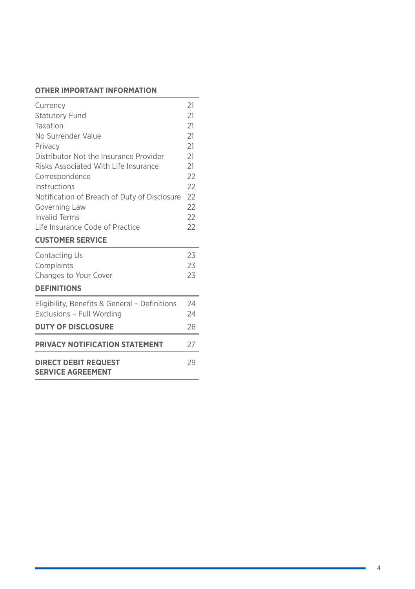## **OTHER IMPORTANT INFORMATION**

| <b>DIRECT DEBIT REQUEST</b><br><b>SERVICE AGREEMENT</b>                    |          |  |  |
|----------------------------------------------------------------------------|----------|--|--|
| PRIVACY NOTIFICATION STATEMENT                                             | 27       |  |  |
| <b>DUTY OF DISCLOSURE</b>                                                  | 26       |  |  |
| Eligibility, Benefits & General - Definitions<br>Exclusions - Full Wording | 24       |  |  |
|                                                                            | 24       |  |  |
| <b>DEFINITIONS</b>                                                         |          |  |  |
| Changes to Your Cover                                                      | 23       |  |  |
| Contacting Us<br>Complaints                                                | 23<br>23 |  |  |
| <b>CUSTOMER SERVICE</b>                                                    |          |  |  |
| Life Insurance Code of Practice                                            | 22       |  |  |
| <b>Invalid Terms</b>                                                       | 22       |  |  |
| Governing Law                                                              | 22       |  |  |
| Notification of Breach of Duty of Disclosure                               | 22       |  |  |
| Correspondence<br>Instructions                                             | 22       |  |  |
| Risks Associated With Life Insurance                                       | 21<br>22 |  |  |
| Distributor Not the Insurance Provider                                     | 21       |  |  |
| Privacy                                                                    | 21       |  |  |
| No Surrender Value                                                         | 21       |  |  |
| Taxation                                                                   | 21       |  |  |
| <b>Statutory Fund</b>                                                      | 21       |  |  |
| Currency                                                                   | 21       |  |  |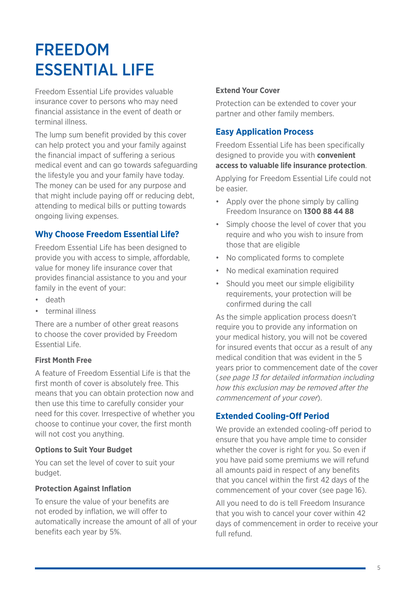## FREEDOM ESSENTIAL LIFE

Freedom Essential Life provides valuable insurance cover to persons who may need financial assistance in the event of death or terminal illness.

The lump sum benefit provided by this cover can help protect you and your family against the financial impact of suffering a serious medical event and can go towards safeguarding the lifestyle you and your family have today. The money can be used for any purpose and that might include paying off or reducing debt, attending to medical bills or putting towards ongoing living expenses.

### **Why Choose Freedom Essential Life?**

Freedom Essential Life has been designed to provide you with access to simple, affordable, value for money life insurance cover that provides financial assistance to you and your family in the event of your:

- death
- terminal illness

There are a number of other great reasons to choose the cover provided by Freedom Essential Life.

#### **First Month Free**

A feature of Freedom Essential Life is that the first month of cover is absolutely free. This means that you can obtain protection now and then use this time to carefully consider your need for this cover. Irrespective of whether you choose to continue your cover, the first month will not cost you anything.

#### **Options to Suit Your Budget**

You can set the level of cover to suit your budget.

#### **Protection Against Inflation**

To ensure the value of your benefits are not eroded by inflation, we will offer to automatically increase the amount of all of your benefits each year by 5%.

#### **Extend Your Cover**

Protection can be extended to cover your partner and other family members.

#### **Easy Application Process**

Freedom Essential Life has been specifically designed to provide you with **convenient access to valuable life insurance protection**.

Applying for Freedom Essential Life could not be easier.

- Apply over the phone simply by calling Freedom Insurance on **1300 88 44 88**
- Simply choose the level of cover that you require and who you wish to insure from those that are eligible
- No complicated forms to complete
- No medical examination required
- Should you meet our simple eligibility requirements, your protection will be confirmed during the call

As the simple application process doesn't require you to provide any information on your medical history, you will not be covered for insured events that occur as a result of any medical condition that was evident in the 5 years prior to commencement date of the cover (see page 13 for detailed information including how this exclusion may be removed after the commencement of your cover).

#### **Extended Cooling-Off Period**

We provide an extended cooling-off period to ensure that you have ample time to consider whether the cover is right for you. So even if you have paid some premiums we will refund all amounts paid in respect of any benefits that you cancel within the first 42 days of the commencement of your cover (see page 16).

All you need to do is tell Freedom Insurance that you wish to cancel your cover within 42 days of commencement in order to receive your full refund.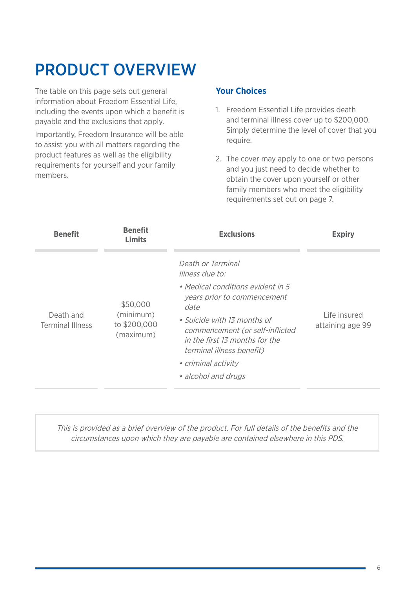## PRODUCT OVERVIEW

The table on this page sets out general information about Freedom Essential Life, including the events upon which a benefit is payable and the exclusions that apply.

Importantly, Freedom Insurance will be able to assist you with all matters regarding the product features as well as the eligibility requirements for yourself and your family members.

### **Your Choices**

- 1. Freedom Essential Life provides death and terminal illness cover up to \$200,000. Simply determine the level of cover that you require.
- 2. The cover may apply to one or two persons and you just need to decide whether to obtain the cover upon yourself or other family members who meet the eligibility requirements set out on page 7.

| <b>Benefit</b>                       | <b>Benefit</b><br>Limits                           | <b>Exclusions</b>                                                                                                                                                                                                                                                                               | <b>Expiry</b>                    |
|--------------------------------------|----------------------------------------------------|-------------------------------------------------------------------------------------------------------------------------------------------------------------------------------------------------------------------------------------------------------------------------------------------------|----------------------------------|
| Death and<br><b>Terminal Illness</b> | \$50,000<br>(minimum)<br>to \$200,000<br>(maximum) | Death or Terminal<br>Illness due to:<br>• Medical conditions evident in 5<br>years prior to commencement<br>date<br>• Suicide with 13 months of<br>commencement (or self-inflicted<br>in the first 13 months for the<br>terminal illness benefit)<br>• criminal activity<br>• alcohol and drugs | Life insured<br>attaining age 99 |

This is provided as a brief overview of the product. For full details of the benefits and the circumstances upon which they are payable are contained elsewhere in this PDS.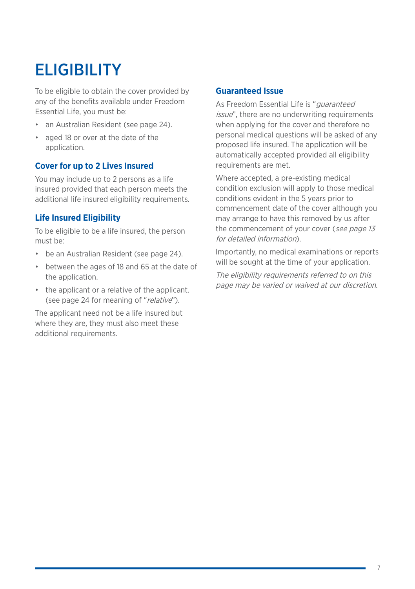## **FLIGIBILITY**

To be eligible to obtain the cover provided by any of the benefits available under Freedom Essential Life, you must be:

- an Australian Resident (see page 24).
- aged 18 or over at the date of the application.

### **Cover for up to 2 Lives Insured**

You may include up to 2 persons as a life insured provided that each person meets the additional life insured eligibility requirements.

### **Life Insured Eligibility**

To be eligible to be a life insured, the person must be:

- be an Australian Resident (see page 24).
- between the ages of 18 and 65 at the date of the application.
- the applicant or a relative of the applicant. (see page 24 for meaning of "relative").

The applicant need not be a life insured but where they are, they must also meet these additional requirements.

#### **Guaranteed Issue**

As Freedom Essential Life is "*guaranteed* issue", there are no underwriting requirements when applying for the cover and therefore no personal medical questions will be asked of any proposed life insured. The application will be automatically accepted provided all eligibility requirements are met.

Where accepted, a pre-existing medical condition exclusion will apply to those medical conditions evident in the 5 years prior to commencement date of the cover although you may arrange to have this removed by us after the commencement of your cover (see page 13 for detailed information).

Importantly, no medical examinations or reports will be sought at the time of your application.

The eligibility requirements referred to on this page may be varied or waived at our discretion.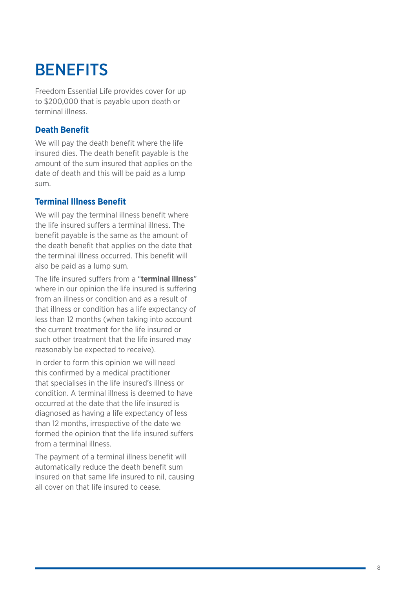## **BENEFITS**

Freedom Essential Life provides cover for up to \$200,000 that is payable upon death or terminal illness.

#### **Death Benefit**

We will pay the death benefit where the life insured dies. The death benefit payable is the amount of the sum insured that applies on the date of death and this will be paid as a lump sum.

### **Terminal Illness Benefit**

We will pay the terminal illness benefit where the life insured suffers a terminal illness. The benefit payable is the same as the amount of the death benefit that applies on the date that the terminal illness occurred. This benefit will also be paid as a lump sum.

The life insured suffers from a "**terminal illness**" where in our opinion the life insured is suffering from an illness or condition and as a result of that illness or condition has a life expectancy of less than 12 months (when taking into account the current treatment for the life insured or such other treatment that the life insured may reasonably be expected to receive).

In order to form this opinion we will need this confirmed by a medical practitioner that specialises in the life insured's illness or condition. A terminal illness is deemed to have occurred at the date that the life insured is diagnosed as having a life expectancy of less than 12 months, irrespective of the date we formed the opinion that the life insured suffers from a terminal illness.

The payment of a terminal illness benefit will automatically reduce the death benefit sum insured on that same life insured to nil, causing all cover on that life insured to cease.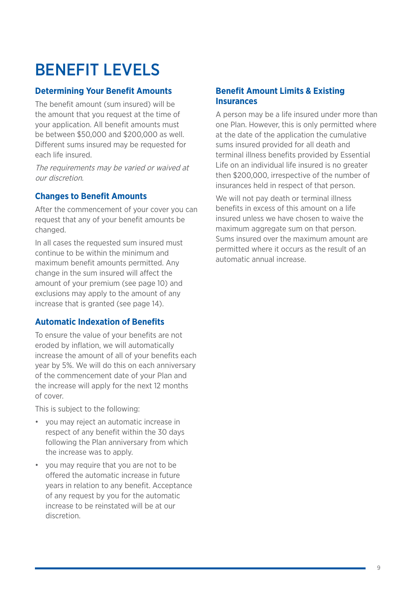## BENEFIT LEVELS

### **Determining Your Benefit Amounts**

The benefit amount (sum insured) will be the amount that you request at the time of your application. All benefit amounts must be between \$50,000 and \$200,000 as well. Different sums insured may be requested for each life insured.

The requirements may be varied or waived at our discretion.

### **Changes to Benefit Amounts**

After the commencement of your cover you can request that any of your benefit amounts be changed.

In all cases the requested sum insured must continue to be within the minimum and maximum benefit amounts permitted. Any change in the sum insured will affect the amount of your premium (see page 10) and exclusions may apply to the amount of any increase that is granted (see page 14).

## **Automatic Indexation of Benefits**

To ensure the value of your benefits are not eroded by inflation, we will automatically increase the amount of all of your benefits each year by 5%. We will do this on each anniversary of the commencement date of your Plan and the increase will apply for the next 12 months of cover.

This is subject to the following:

- you may reject an automatic increase in respect of any benefit within the 30 days following the Plan anniversary from which the increase was to apply.
- you may require that you are not to be offered the automatic increase in future years in relation to any benefit. Acceptance of any request by you for the automatic increase to be reinstated will be at our discretion.

#### **Benefit Amount Limits & Existing Insurances**

A person may be a life insured under more than one Plan. However, this is only permitted where at the date of the application the cumulative sums insured provided for all death and terminal illness benefits provided by Essential Life on an individual life insured is no greater then \$200,000, irrespective of the number of insurances held in respect of that person.

We will not pay death or terminal illness benefits in excess of this amount on a life insured unless we have chosen to waive the maximum aggregate sum on that person. Sums insured over the maximum amount are permitted where it occurs as the result of an automatic annual increase.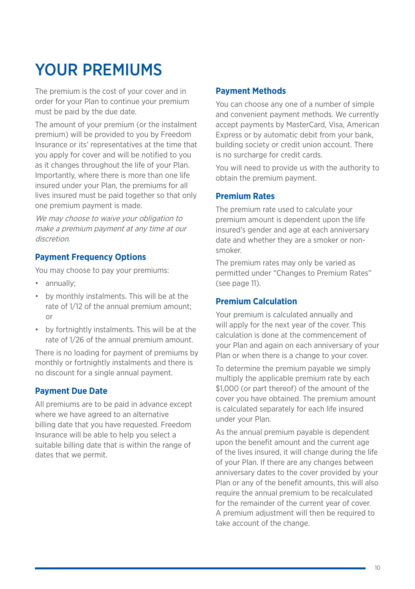## YOUR PREMIUMS

The premium is the cost of your cover and in order for your Plan to continue your premium must be paid by the due date.

The amount of your premium (or the instalment premium) will be provided to you by Freedom Insurance or its' representatives at the time that you apply for cover and will be notified to you as it changes throughout the life of your Plan. Importantly, where there is more than one life insured under your Plan, the premiums for all lives insured must be paid together so that only one premium payment is made.

We may choose to waive your obligation to make a premium payment at any time at our discretion.

#### **Payment Frequency Options**

You may choose to pay your premiums:

- annually;
- by monthly instalments. This will be at the rate of 1/12 of the annual premium amount; or
- by fortnightly instalments. This will be at the rate of 1/26 of the annual premium amount.

There is no loading for payment of premiums by monthly or fortnightly instalments and there is no discount for a single annual payment.

#### **Payment Due Date**

All premiums are to be paid in advance except where we have agreed to an alternative billing date that you have requested. Freedom Insurance will be able to help you select a suitable billing date that is within the range of dates that we permit.

#### **Payment Methods**

You can choose any one of a number of simple and convenient payment methods. We currently accept payments by MasterCard, Visa, American Express or by automatic debit from your bank, building society or credit union account. There is no surcharge for credit cards.

You will need to provide us with the authority to obtain the premium payment.

#### **Premium Rates**

The premium rate used to calculate your premium amount is dependent upon the life insured's gender and age at each anniversary date and whether they are a smoker or nonsmoker.

The premium rates may only be varied as permitted under "Changes to Premium Rates" (see page 11).

#### **Premium Calculation**

Your premium is calculated annually and will apply for the next year of the cover. This calculation is done at the commencement of your Plan and again on each anniversary of your Plan or when there is a change to your cover.

To determine the premium payable we simply multiply the applicable premium rate by each \$1,000 (or part thereof) of the amount of the cover you have obtained. The premium amount is calculated separately for each life insured under your Plan.

As the annual premium payable is dependent upon the benefit amount and the current age of the lives insured, it will change during the life of your Plan. If there are any changes between anniversary dates to the cover provided by your Plan or any of the benefit amounts, this will also require the annual premium to be recalculated for the remainder of the current year of cover. A premium adjustment will then be required to take account of the change.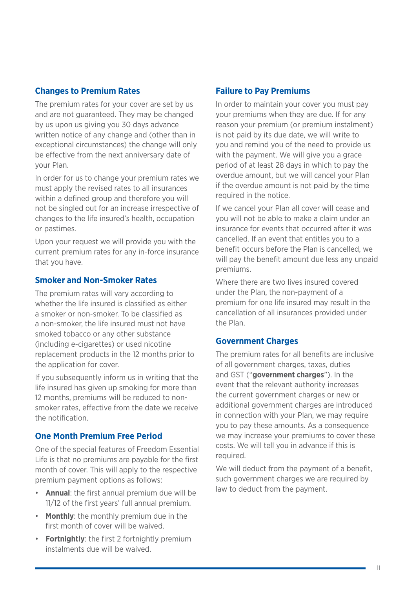#### **Changes to Premium Rates**

The premium rates for your cover are set by us and are not guaranteed. They may be changed by us upon us giving you 30 days advance written notice of any change and (other than in exceptional circumstances) the change will only be effective from the next anniversary date of your Plan.

In order for us to change your premium rates we must apply the revised rates to all insurances within a defined group and therefore you will not be singled out for an increase irrespective of changes to the life insured's health, occupation or pastimes.

Upon your request we will provide you with the current premium rates for any in-force insurance that you have.

#### **Smoker and Non-Smoker Rates**

The premium rates will vary according to whether the life insured is classified as either a smoker or non-smoker. To be classified as a non-smoker, the life insured must not have smoked tobacco or any other substance (including e-cigarettes) or used nicotine replacement products in the 12 months prior to the application for cover.

If you subsequently inform us in writing that the life insured has given up smoking for more than 12 months, premiums will be reduced to nonsmoker rates, effective from the date we receive the notification.

#### **One Month Premium Free Period**

One of the special features of Freedom Essential Life is that no premiums are payable for the first month of cover. This will apply to the respective premium payment options as follows:

- **Annual**: the first annual premium due will be 11/12 of the first years' full annual premium.
- **Monthly**: the monthly premium due in the first month of cover will be waived.
- **Fortnightly**: the first 2 fortnightly premium instalments due will be waived.

#### **Failure to Pay Premiums**

In order to maintain your cover you must pay your premiums when they are due. If for any reason your premium (or premium instalment) is not paid by its due date, we will write to you and remind you of the need to provide us with the payment. We will give you a grace period of at least 28 days in which to pay the overdue amount, but we will cancel your Plan if the overdue amount is not paid by the time required in the notice.

If we cancel your Plan all cover will cease and you will not be able to make a claim under an insurance for events that occurred after it was cancelled. If an event that entitles you to a benefit occurs before the Plan is cancelled, we will pay the benefit amount due less any unpaid premiums.

Where there are two lives insured covered under the Plan, the non-payment of a premium for one life insured may result in the cancellation of all insurances provided under the Plan.

#### **Government Charges**

The premium rates for all benefits are inclusive of all government charges, taxes, duties and GST ("**government charges**"). In the event that the relevant authority increases the current government charges or new or additional government charges are introduced in connection with your Plan, we may require you to pay these amounts. As a consequence we may increase your premiums to cover these costs. We will tell you in advance if this is required.

We will deduct from the payment of a benefit. such government charges we are required by law to deduct from the payment.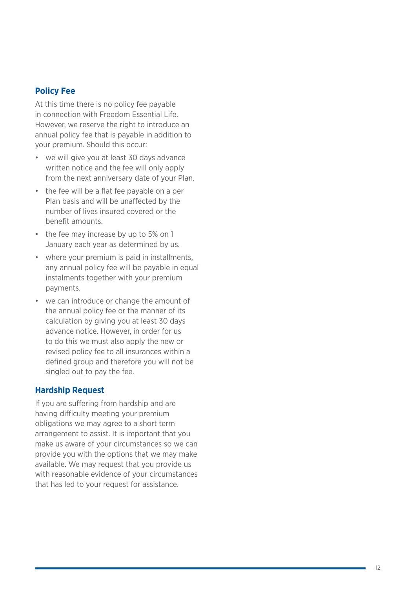#### **Policy Fee**

At this time there is no policy fee payable in connection with Freedom Essential Life. However, we reserve the right to introduce an annual policy fee that is payable in addition to your premium. Should this occur:

- we will give you at least 30 days advance written notice and the fee will only apply from the next anniversary date of your Plan.
- the fee will be a flat fee payable on a per Plan basis and will be unaffected by the number of lives insured covered or the benefit amounts.
- the fee may increase by up to 5% on 1 January each year as determined by us.
- where your premium is paid in installments, any annual policy fee will be payable in equal instalments together with your premium payments.
- we can introduce or change the amount of the annual policy fee or the manner of its calculation by giving you at least 30 days advance notice. However, in order for us to do this we must also apply the new or revised policy fee to all insurances within a defined group and therefore you will not be singled out to pay the fee.

#### **Hardship Request**

If you are suffering from hardship and are having difficulty meeting your premium obligations we may agree to a short term arrangement to assist. It is important that you make us aware of your circumstances so we can provide you with the options that we may make available. We may request that you provide us with reasonable evidence of your circumstances that has led to your request for assistance.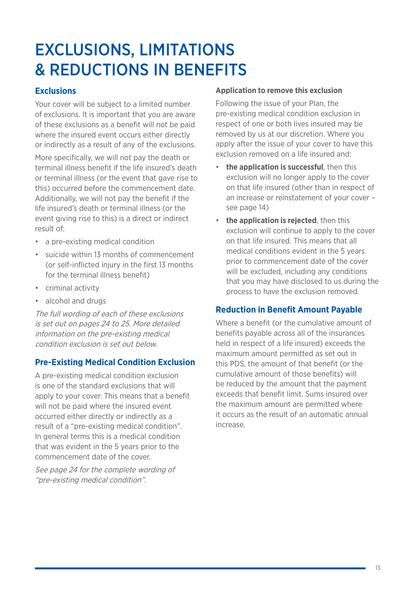## EXCLUSIONS, LIMITATIONS & REDUCTIONS IN BENEFITS

### **Exclusions**

Your cover will be subject to a limited number of exclusions. It is important that you are aware of these exclusions as a benefit will not be paid where the insured event occurs either directly or indirectly as a result of any of the exclusions.

More specifically, we will not pay the death or terminal illness benefit if the life insured's death or terminal illness (or the event that gave rise to this) occurred before the commencement date. Additionally, we will not pay the benefit if the life insured's death or terminal illness (or the event giving rise to this) is a direct or indirect result of:

- a pre-existing medical condition
- suicide within 13 months of commencement (or self-inflicted injury in the first 13 months for the terminal illness benefit)
- criminal activity
- alcohol and drugs

The full wording of each of these exclusions is set out on pages 24 to 25. More detailed information on the pre-existing medical condition exclusion is set out below.

#### **Pre-Existing Medical Condition Exclusion**

A pre-existing medical condition exclusion is one of the standard exclusions that will apply to your cover. This means that a benefit will not be paid where the insured event occurred either directly or indirectly as a result of a "pre-existing medical condition". In general terms this is a medical condition that was evident in the 5 years prior to the commencement date of the cover.

See page 24 for the complete wording of "pre-existing medical condition".

#### **Application to remove this exclusion**

Following the issue of your Plan, the pre-existing medical condition exclusion in respect of one or both lives insured may be removed by us at our discretion. Where you apply after the issue of your cover to have this exclusion removed on a life insured and:

- **the application is successful**, then this exclusion will no longer apply to the cover on that life insured (other than in respect of an increase or reinstatement of your cover – see page 14)
- **the application is rejected**, then this exclusion will continue to apply to the cover on that life insured. This means that all medical conditions evident in the 5 years prior to commencement date of the cover will be excluded, including any conditions that you may have disclosed to us during the process to have the exclusion removed.

#### **Reduction in Benefit Amount Payable**

Where a benefit (or the cumulative amount of benefits payable across all of the insurances held in respect of a life insured) exceeds the maximum amount permitted as set out in this PDS, the amount of that benefit (or the cumulative amount of those benefits) will be reduced by the amount that the payment exceeds that benefit limit. Sums insured over the maximum amount are permitted where it occurs as the result of an automatic annual increase.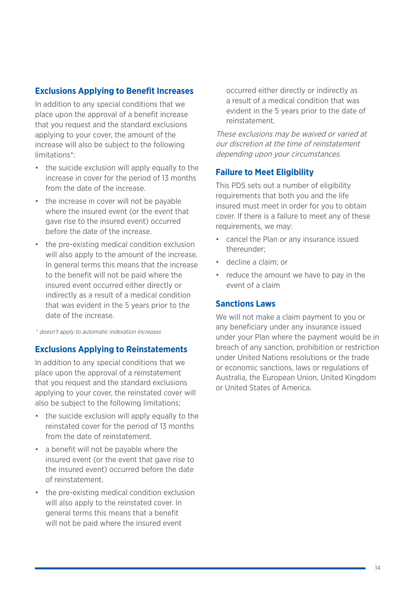#### **Exclusions Applying to Benefit Increases**

In addition to any special conditions that we place upon the approval of a benefit increase that you request and the standard exclusions applying to your cover, the amount of the increase will also be subject to the following limitations\*:

- the suicide exclusion will apply equally to the increase in cover for the period of 13 months from the date of the increase.
- the increase in cover will not be payable where the insured event (or the event that gave rise to the insured event) occurred before the date of the increase.
- the pre-existing medical condition exclusion will also apply to the amount of the increase. In general terms this means that the increase to the benefit will not be paid where the insured event occurred either directly or indirectly as a result of a medical condition that was evident in the 5 years prior to the date of the increase.

\* doesn't apply to automatic indexation increases

#### **Exclusions Applying to Reinstatements**

In addition to any special conditions that we place upon the approval of a reinstatement that you request and the standard exclusions applying to your cover, the reinstated cover will also be subject to the following limitations:

- the suicide exclusion will apply equally to the reinstated cover for the period of 13 months from the date of reinstatement.
- a benefit will not be payable where the insured event (or the event that gave rise to the insured event) occurred before the date of reinstatement.
- the pre-existing medical condition exclusion will also apply to the reinstated cover. In general terms this means that a benefit will not be paid where the insured event

occurred either directly or indirectly as a result of a medical condition that was evident in the 5 years prior to the date of reinstatement.

These exclusions may be waived or varied at our discretion at the time of reinstatement depending upon your circumstances.

#### **Failure to Meet Eligibility**

This PDS sets out a number of eligibility requirements that both you and the life insured must meet in order for you to obtain cover. If there is a failure to meet any of these requirements, we may:

- cancel the Plan or any insurance issued thereunder;
- decline a claim; or
- reduce the amount we have to pay in the event of a claim

#### **Sanctions Laws**

We will not make a claim payment to you or any beneficiary under any insurance issued under your Plan where the payment would be in breach of any sanction, prohibition or restriction under United Nations resolutions or the trade or economic sanctions, laws or regulations of Australia, the European Union, United Kingdom or United States of America.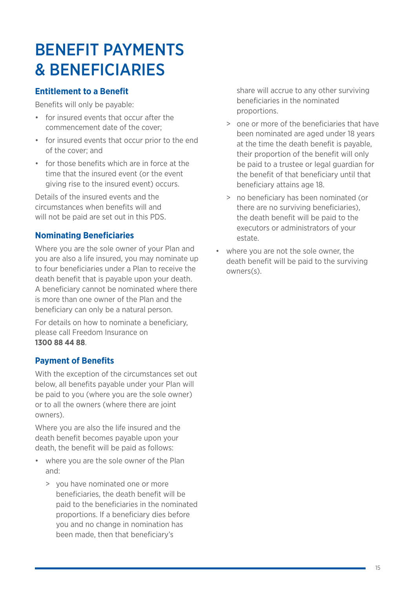## BENEFIT PAYMENTS & BENEFICIARIES

## **Entitlement to a Benefit**

Benefits will only be payable:

- for insured events that occur after the commencement date of the cover;
- for insured events that occur prior to the end of the cover; and
- for those benefits which are in force at the time that the insured event (or the event giving rise to the insured event) occurs.

Details of the insured events and the circumstances when benefits will and will not be paid are set out in this PDS.

## **Nominating Beneficiaries**

Where you are the sole owner of your Plan and you are also a life insured, you may nominate up to four beneficiaries under a Plan to receive the death benefit that is payable upon your death. A beneficiary cannot be nominated where there is more than one owner of the Plan and the beneficiary can only be a natural person.

For details on how to nominate a beneficiary, please call Freedom Insurance on **1300 88 44 88**.

## **Payment of Benefits**

With the exception of the circumstances set out below, all benefits payable under your Plan will be paid to you (where you are the sole owner) or to all the owners (where there are joint owners).

Where you are also the life insured and the death benefit becomes payable upon your death, the benefit will be paid as follows:

- where you are the sole owner of the Plan and:
	- > you have nominated one or more beneficiaries, the death benefit will be paid to the beneficiaries in the nominated proportions. If a beneficiary dies before you and no change in nomination has been made, then that beneficiary's

share will accrue to any other surviving beneficiaries in the nominated proportions.

- > one or more of the beneficiaries that have been nominated are aged under 18 years at the time the death benefit is payable, their proportion of the benefit will only be paid to a trustee or legal guardian for the benefit of that beneficiary until that beneficiary attains age 18.
- > no beneficiary has been nominated (or there are no surviving beneficiaries), the death benefit will be paid to the executors or administrators of your estate.
- where you are not the sole owner, the death benefit will be paid to the surviving owners(s).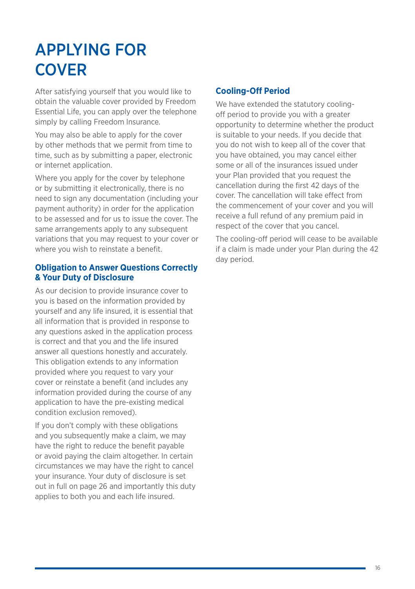## APPLYING FOR **COVER**

After satisfying yourself that you would like to obtain the valuable cover provided by Freedom Essential Life, you can apply over the telephone simply by calling Freedom Insurance.

You may also be able to apply for the cover by other methods that we permit from time to time, such as by submitting a paper, electronic or internet application.

Where you apply for the cover by telephone or by submitting it electronically, there is no need to sign any documentation (including your payment authority) in order for the application to be assessed and for us to issue the cover. The same arrangements apply to any subsequent variations that you may request to your cover or where you wish to reinstate a benefit.

#### **Obligation to Answer Questions Correctly & Your Duty of Disclosure**

As our decision to provide insurance cover to you is based on the information provided by yourself and any life insured, it is essential that all information that is provided in response to any questions asked in the application process is correct and that you and the life insured answer all questions honestly and accurately. This obligation extends to any information provided where you request to vary your cover or reinstate a benefit (and includes any information provided during the course of any application to have the pre-existing medical condition exclusion removed).

If you don't comply with these obligations and you subsequently make a claim, we may have the right to reduce the benefit payable or avoid paying the claim altogether. In certain circumstances we may have the right to cancel your insurance. Your duty of disclosure is set out in full on page 26 and importantly this duty applies to both you and each life insured.

## **Cooling-Off Period**

We have extended the statutory coolingoff period to provide you with a greater opportunity to determine whether the product is suitable to your needs. If you decide that you do not wish to keep all of the cover that you have obtained, you may cancel either some or all of the insurances issued under your Plan provided that you request the cancellation during the first 42 days of the cover. The cancellation will take effect from the commencement of your cover and you will receive a full refund of any premium paid in respect of the cover that you cancel.

The cooling-off period will cease to be available if a claim is made under your Plan during the 42 day period.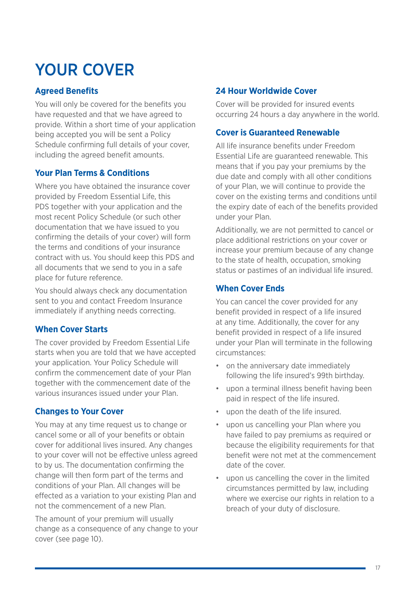## YOUR COVER

## **Agreed Benefits**

You will only be covered for the benefits you have requested and that we have agreed to provide. Within a short time of your application being accepted you will be sent a Policy Schedule confirming full details of your cover, including the agreed benefit amounts.

## **Your Plan Terms & Conditions**

Where you have obtained the insurance cover provided by Freedom Essential Life, this PDS together with your application and the most recent Policy Schedule (or such other documentation that we have issued to you confirming the details of your cover) will form the terms and conditions of your insurance contract with us. You should keep this PDS and all documents that we send to you in a safe place for future reference.

You should always check any documentation sent to you and contact Freedom Insurance immediately if anything needs correcting.

## **When Cover Starts**

The cover provided by Freedom Essential Life starts when you are told that we have accepted your application. Your Policy Schedule will confirm the commencement date of your Plan together with the commencement date of the various insurances issued under your Plan.

## **Changes to Your Cover**

You may at any time request us to change or cancel some or all of your benefits or obtain cover for additional lives insured. Any changes to your cover will not be effective unless agreed to by us. The documentation confirming the change will then form part of the terms and conditions of your Plan. All changes will be effected as a variation to your existing Plan and not the commencement of a new Plan.

The amount of your premium will usually change as a consequence of any change to your cover (see page 10).

## **24 Hour Worldwide Cover**

Cover will be provided for insured events occurring 24 hours a day anywhere in the world.

### **Cover is Guaranteed Renewable**

All life insurance benefits under Freedom Essential Life are guaranteed renewable. This means that if you pay your premiums by the due date and comply with all other conditions of your Plan, we will continue to provide the cover on the existing terms and conditions until the expiry date of each of the benefits provided under your Plan.

Additionally, we are not permitted to cancel or place additional restrictions on your cover or increase your premium because of any change to the state of health, occupation, smoking status or pastimes of an individual life insured.

## **When Cover Ends**

You can cancel the cover provided for any benefit provided in respect of a life insured at any time. Additionally, the cover for any benefit provided in respect of a life insured under your Plan will terminate in the following circumstances:

- on the anniversary date immediately following the life insured's 99th birthday.
- upon a terminal illness benefit having been paid in respect of the life insured.
- upon the death of the life insured.
- upon us cancelling your Plan where you have failed to pay premiums as required or because the eligibility requirements for that benefit were not met at the commencement date of the cover.
- upon us cancelling the cover in the limited circumstances permitted by law, including where we exercise our rights in relation to a breach of your duty of disclosure.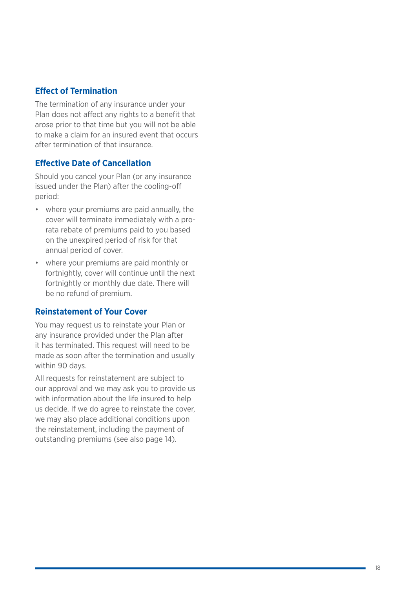#### **Effect of Termination**

The termination of any insurance under your Plan does not affect any rights to a benefit that arose prior to that time but you will not be able to make a claim for an insured event that occurs after termination of that insurance.

#### **Effective Date of Cancellation**

Should you cancel your Plan (or any insurance issued under the Plan) after the cooling-off period:

- where your premiums are paid annually, the cover will terminate immediately with a prorata rebate of premiums paid to you based on the unexpired period of risk for that annual period of cover.
- where your premiums are paid monthly or fortnightly, cover will continue until the next fortnightly or monthly due date. There will be no refund of premium.

#### **Reinstatement of Your Cover**

You may request us to reinstate your Plan or any insurance provided under the Plan after it has terminated. This request will need to be made as soon after the termination and usually within 90 days.

All requests for reinstatement are subject to our approval and we may ask you to provide us with information about the life insured to help us decide. If we do agree to reinstate the cover, we may also place additional conditions upon the reinstatement, including the payment of outstanding premiums (see also page 14).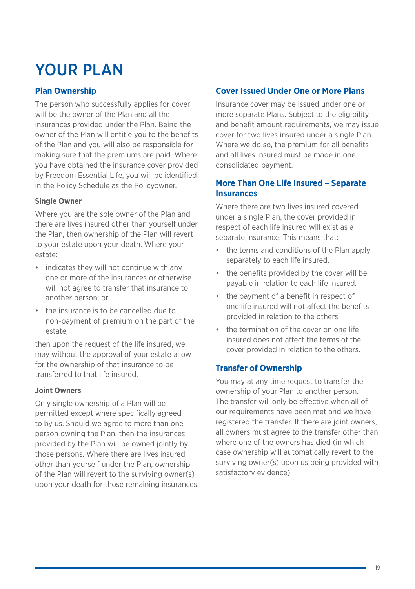## YOUR PLAN

### **Plan Ownership**

The person who successfully applies for cover will be the owner of the Plan and all the insurances provided under the Plan. Being the owner of the Plan will entitle you to the benefits of the Plan and you will also be responsible for making sure that the premiums are paid. Where you have obtained the insurance cover provided by Freedom Essential Life, you will be identified in the Policy Schedule as the Policyowner.

#### **Single Owner**

Where you are the sole owner of the Plan and there are lives insured other than yourself under the Plan, then ownership of the Plan will revert to your estate upon your death. Where your estate:

- indicates they will not continue with any one or more of the insurances or otherwise will not agree to transfer that insurance to another person; or
- the insurance is to be cancelled due to non-payment of premium on the part of the estate,

then upon the request of the life insured, we may without the approval of your estate allow for the ownership of that insurance to be transferred to that life insured.

#### **Joint Owners**

Only single ownership of a Plan will be permitted except where specifically agreed to by us. Should we agree to more than one person owning the Plan, then the insurances provided by the Plan will be owned jointly by those persons. Where there are lives insured other than yourself under the Plan, ownership of the Plan will revert to the surviving owner(s) upon your death for those remaining insurances.

### **Cover Issued Under One or More Plans**

Insurance cover may be issued under one or more separate Plans. Subject to the eligibility and benefit amount requirements, we may issue cover for two lives insured under a single Plan. Where we do so, the premium for all benefits and all lives insured must be made in one consolidated payment.

### **More Than One Life Insured – Separate Insurances**

Where there are two lives insured covered under a single Plan, the cover provided in respect of each life insured will exist as a separate insurance. This means that:

- the terms and conditions of the Plan apply separately to each life insured.
- the benefits provided by the cover will be payable in relation to each life insured.
- the payment of a benefit in respect of one life insured will not affect the benefits provided in relation to the others.
- the termination of the cover on one life insured does not affect the terms of the cover provided in relation to the others.

#### **Transfer of Ownership**

You may at any time request to transfer the ownership of your Plan to another person. The transfer will only be effective when all of our requirements have been met and we have registered the transfer. If there are joint owners, all owners must agree to the transfer other than where one of the owners has died (in which case ownership will automatically revert to the surviving owner(s) upon us being provided with satisfactory evidence).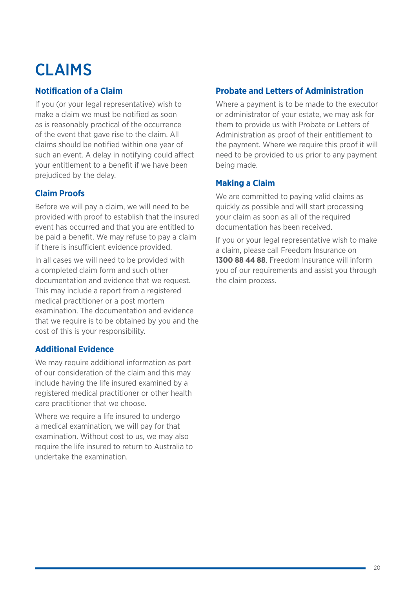## CLAIMS

## **Notification of a Claim**

If you (or your legal representative) wish to make a claim we must be notified as soon as is reasonably practical of the occurrence of the event that gave rise to the claim. All claims should be notified within one year of such an event. A delay in notifying could affect your entitlement to a benefit if we have been prejudiced by the delay.

## **Claim Proofs**

Before we will pay a claim, we will need to be provided with proof to establish that the insured event has occurred and that you are entitled to be paid a benefit. We may refuse to pay a claim if there is insufficient evidence provided.

In all cases we will need to be provided with a completed claim form and such other documentation and evidence that we request. This may include a report from a registered medical practitioner or a post mortem examination. The documentation and evidence that we require is to be obtained by you and the cost of this is your responsibility.

## **Additional Evidence**

We may require additional information as part of our consideration of the claim and this may include having the life insured examined by a registered medical practitioner or other health care practitioner that we choose.

Where we require a life insured to undergo a medical examination, we will pay for that examination. Without cost to us, we may also require the life insured to return to Australia to undertake the examination.

## **Probate and Letters of Administration**

Where a payment is to be made to the executor or administrator of your estate, we may ask for them to provide us with Probate or Letters of Administration as proof of their entitlement to the payment. Where we require this proof it will need to be provided to us prior to any payment being made.

## **Making a Claim**

We are committed to paying valid claims as quickly as possible and will start processing your claim as soon as all of the required documentation has been received.

If you or your legal representative wish to make a claim, please call Freedom Insurance on **1300 88 44 88**. Freedom Insurance will inform you of our requirements and assist you through the claim process.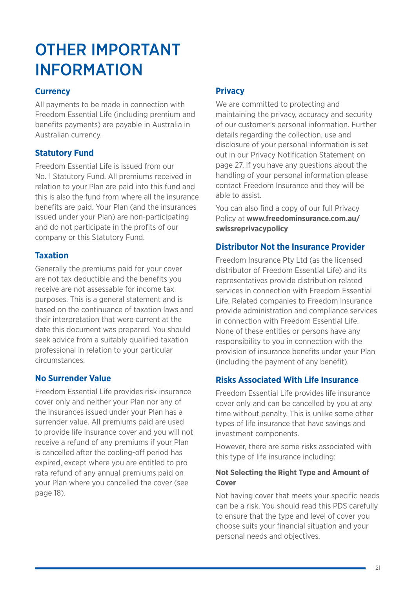## OTHER IMPORTANT INFORMATION

#### **Currency**

All payments to be made in connection with Freedom Essential Life (including premium and benefits payments) are payable in Australia in Australian currency.

### **Statutory Fund**

Freedom Essential Life is issued from our No. 1 Statutory Fund. All premiums received in relation to your Plan are paid into this fund and this is also the fund from where all the insurance benefits are paid. Your Plan (and the insurances issued under your Plan) are non-participating and do not participate in the profits of our company or this Statutory Fund.

#### **Taxation**

Generally the premiums paid for your cover are not tax deductible and the benefits you receive are not assessable for income tax purposes. This is a general statement and is based on the continuance of taxation laws and their interpretation that were current at the date this document was prepared. You should seek advice from a suitably qualified taxation professional in relation to your particular circumstances.

#### **No Surrender Value**

Freedom Essential Life provides risk insurance cover only and neither your Plan nor any of the insurances issued under your Plan has a surrender value. All premiums paid are used to provide life insurance cover and you will not receive a refund of any premiums if your Plan is cancelled after the cooling-off period has expired, except where you are entitled to pro rata refund of any annual premiums paid on your Plan where you cancelled the cover (see page 18).

## **Privacy**

We are committed to protecting and maintaining the privacy, accuracy and security of our customer's personal information. Further details regarding the collection, use and disclosure of your personal information is set out in our Privacy Notification Statement on page 27. If you have any questions about the handling of your personal information please contact Freedom Insurance and they will be able to assist.

You can also find a copy of our full Privacy Policy at **www.freedominsurance.com.au/ swissreprivacypolicy**

## **Distributor Not the Insurance Provider**

Freedom Insurance Pty Ltd (as the licensed distributor of Freedom Essential Life) and its representatives provide distribution related services in connection with Freedom Essential Life. Related companies to Freedom Insurance provide administration and compliance services in connection with Freedom Essential Life. None of these entities or persons have any responsibility to you in connection with the provision of insurance benefits under your Plan (including the payment of any benefit).

## **Risks Associated With Life Insurance**

Freedom Essential Life provides life insurance cover only and can be cancelled by you at any time without penalty. This is unlike some other types of life insurance that have savings and investment components.

However, there are some risks associated with this type of life insurance including:

#### **Not Selecting the Right Type and Amount of Cover**

Not having cover that meets your specific needs can be a risk. You should read this PDS carefully to ensure that the type and level of cover you choose suits your financial situation and your personal needs and objectives.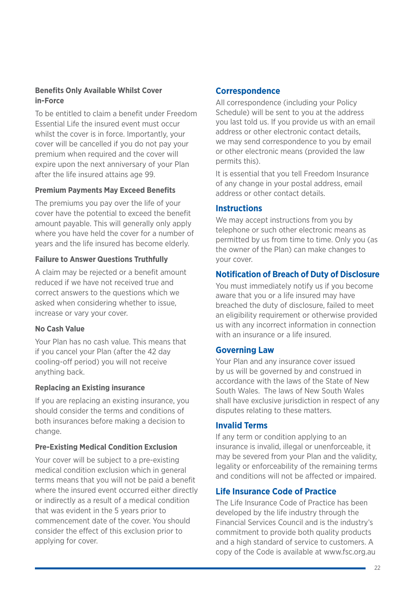#### **Benefits Only Available Whilst Cover in-Force**

To be entitled to claim a benefit under Freedom Essential Life the insured event must occur whilst the cover is in force. Importantly, your cover will be cancelled if you do not pay your premium when required and the cover will expire upon the next anniversary of your Plan after the life insured attains age 99.

#### **Premium Payments May Exceed Benefits**

The premiums you pay over the life of your cover have the potential to exceed the benefit amount payable. This will generally only apply where you have held the cover for a number of years and the life insured has become elderly.

#### **Failure to Answer Questions Truthfully**

A claim may be rejected or a benefit amount reduced if we have not received true and correct answers to the questions which we asked when considering whether to issue, increase or vary your cover.

#### **No Cash Value**

Your Plan has no cash value. This means that if you cancel your Plan (after the 42 day cooling-off period) you will not receive anything back.

#### **Replacing an Existing insurance**

If you are replacing an existing insurance, you should consider the terms and conditions of both insurances before making a decision to change.

#### **Pre-Existing Medical Condition Exclusion**

Your cover will be subject to a pre-existing medical condition exclusion which in general terms means that you will not be paid a benefit where the insured event occurred either directly or indirectly as a result of a medical condition that was evident in the 5 years prior to commencement date of the cover. You should consider the effect of this exclusion prior to applying for cover.

#### **Correspondence**

All correspondence (including your Policy Schedule) will be sent to you at the address you last told us. If you provide us with an email address or other electronic contact details, we may send correspondence to you by email or other electronic means (provided the law permits this).

It is essential that you tell Freedom Insurance of any change in your postal address, email address or other contact details.

#### **Instructions**

We may accept instructions from you by telephone or such other electronic means as permitted by us from time to time. Only you (as the owner of the Plan) can make changes to your cover.

#### **Notification of Breach of Duty of Disclosure**

You must immediately notify us if you become aware that you or a life insured may have breached the duty of disclosure, failed to meet an eligibility requirement or otherwise provided us with any incorrect information in connection with an insurance or a life insured.

#### **Governing Law**

Your Plan and any insurance cover issued by us will be governed by and construed in accordance with the laws of the State of New South Wales. The laws of New South Wales shall have exclusive jurisdiction in respect of any disputes relating to these matters.

#### **Invalid Terms**

If any term or condition applying to an insurance is invalid, illegal or unenforceable, it may be severed from your Plan and the validity, legality or enforceability of the remaining terms and conditions will not be affected or impaired.

#### **Life Insurance Code of Practice**

The Life Insurance Code of Practice has been developed by the life industry through the Financial Services Council and is the industry's commitment to provide both quality products and a high standard of service to customers. A copy of the Code is available at www.fsc.org.au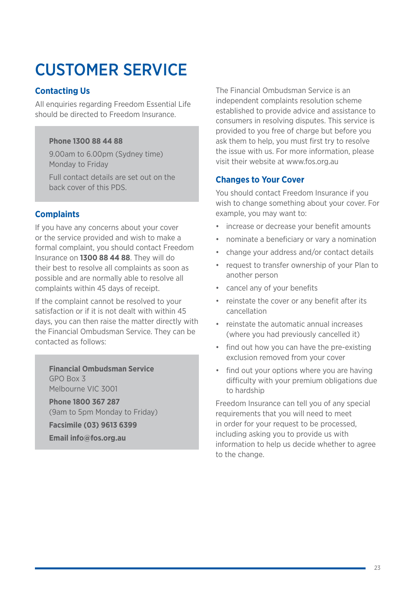## CUSTOMER SERVICE

## **Contacting Us**

All enquiries regarding Freedom Essential Life should be directed to Freedom Insurance.

#### **Phone 1300 88 44 88**

9.00am to 6.00pm (Sydney time) Monday to Friday

Full contact details are set out on the back cover of this PDS.

## **Complaints**

If you have any concerns about your cover or the service provided and wish to make a formal complaint, you should contact Freedom Insurance on **1300 88 44 88**. They will do their best to resolve all complaints as soon as possible and are normally able to resolve all complaints within 45 days of receipt.

If the complaint cannot be resolved to your satisfaction or if it is not dealt with within 45 days, you can then raise the matter directly with the Financial Ombudsman Service. They can be contacted as follows:

**Financial Ombudsman Service** GPO Box 3 Melbourne VIC 3001

**Phone 1800 367 287**  (9am to 5pm Monday to Friday)

**Facsimile (03) 9613 6399 Email info@fos.org.au**

The Financial Ombudsman Service is an independent complaints resolution scheme established to provide advice and assistance to consumers in resolving disputes. This service is provided to you free of charge but before you ask them to help, you must first try to resolve the issue with us. For more information, please visit their website at www.fos.org.au

### **Changes to Your Cover**

You should contact Freedom Insurance if you wish to change something about your cover. For example, you may want to:

- increase or decrease your benefit amounts
- nominate a beneficiary or vary a nomination
- change your address and/or contact details
- request to transfer ownership of your Plan to another person
- cancel any of your benefits
- reinstate the cover or any benefit after its cancellation
- reinstate the automatic annual increases (where you had previously cancelled it)
- find out how you can have the pre-existing exclusion removed from your cover
- find out your options where you are having difficulty with your premium obligations due to hardship

Freedom Insurance can tell you of any special requirements that you will need to meet in order for your request to be processed, including asking you to provide us with information to help us decide whether to agree to the change.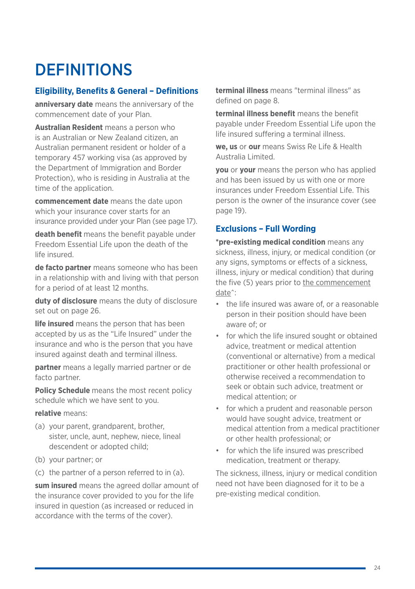## **DEFINITIONS**

### **Eligibility, Benefits & General – Definitions**

**anniversary date** means the anniversary of the commencement date of your Plan.

**Australian Resident** means a person who is an Australian or New Zealand citizen, an Australian permanent resident or holder of a temporary 457 working visa (as approved by the Department of Immigration and Border Protection), who is residing in Australia at the time of the application.

**commencement date** means the date upon which your insurance cover starts for an insurance provided under your Plan (see page 17).

**death benefit** means the benefit payable under Freedom Essential Life upon the death of the life insured.

**de facto partner** means someone who has been in a relationship with and living with that person for a period of at least 12 months.

**duty of disclosure** means the duty of disclosure set out on page 26.

**life insured** means the person that has been accepted by us as the "Life Insured" under the insurance and who is the person that you have insured against death and terminal illness.

**partner** means a legally married partner or de facto partner.

**Policy Schedule** means the most recent policy schedule which we have sent to you.

**relative** means:

- (a) your parent, grandparent, brother, sister, uncle, aunt, nephew, niece, lineal descendent or adopted child;
- (b) your partner; or
- (c) the partner of a person referred to in (a).

**sum insured** means the agreed dollar amount of the insurance cover provided to you for the life insured in question (as increased or reduced in accordance with the terms of the cover).

**terminal illness** means "terminal illness" as defined on page 8.

**terminal illness benefit** means the benefit payable under Freedom Essential Life upon the life insured suffering a terminal illness.

**we, us** or **our** means Swiss Re Life & Health Australia Limited.

**you** or **your** means the person who has applied and has been issued by us with one or more insurances under Freedom Essential Life. This person is the owner of the insurance cover (see page 19).

## **Exclusions – Full Wording**

**\*pre-existing medical condition** means any sickness, illness, injury, or medical condition (or any signs, symptoms or effects of a sickness, illness, injury or medical condition) that during the five (5) years prior to the commencement date^:

- the life insured was aware of, or a reasonable person in their position should have been aware of; or
- for which the life insured sought or obtained advice, treatment or medical attention (conventional or alternative) from a medical practitioner or other health professional or otherwise received a recommendation to seek or obtain such advice, treatment or medical attention; or
- for which a prudent and reasonable person would have sought advice, treatment or medical attention from a medical practitioner or other health professional; or
- for which the life insured was prescribed medication, treatment or therapy.

The sickness, illness, injury or medical condition need not have been diagnosed for it to be a pre-existing medical condition.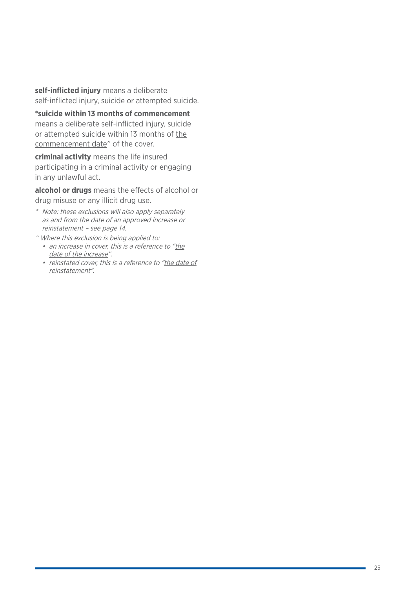**self-inflicted injury** means a deliberate self-inflicted injury, suicide or attempted suicide.

**\*suicide within 13 months of commencement** means a deliberate self-inflicted injury, suicide or attempted suicide within 13 months of the commencement date^ of the cover.

**criminal activity** means the life insured participating in a criminal activity or engaging in any unlawful act.

**alcohol or drugs** means the effects of alcohol or drug misuse or any illicit drug use.

- \* Note: these exclusions will also apply separately as and from the date of an approved increase or reinstatement – see page 14.
- ^ Where this exclusion is being applied to:
	- an increase in cover, this is a reference to "the date of the increase".
	- reinstated cover, this is a reference to "the date of reinstatement".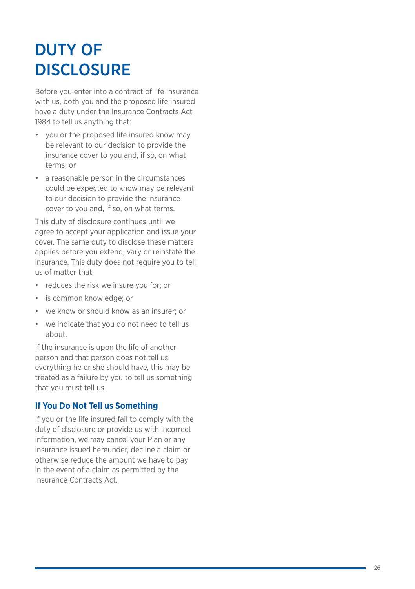## DUTY OF DISCLOSURE

Before you enter into a contract of life insurance with us, both you and the proposed life insured have a duty under the Insurance Contracts Act 1984 to tell us anything that:

- you or the proposed life insured know may be relevant to our decision to provide the insurance cover to you and, if so, on what terms; or
- a reasonable person in the circumstances could be expected to know may be relevant to our decision to provide the insurance cover to you and, if so, on what terms.

This duty of disclosure continues until we agree to accept your application and issue your cover. The same duty to disclose these matters applies before you extend, vary or reinstate the insurance. This duty does not require you to tell us of matter that:

- 
- 
- reduces the risk we insure you for; or<br>• is common knowledge; or<br>• we know or should know as an insurer; or<br>• we indicate that you do not need to tell us
- about.

If the insurance is upon the life of another person and that person does not tell us everything he or she should have, this may be treated as a failure by you to tell us something that you must tell us.

#### **If You Do Not Tell us Something**

If you or the life insured fail to comply with the duty of disclosure or provide us with incorrect information, we may cancel your Plan or any insurance issued hereunder, decline a claim or otherwise reduce the amount we have to pay in the event of a claim as permitted by the Insurance Contracts Act.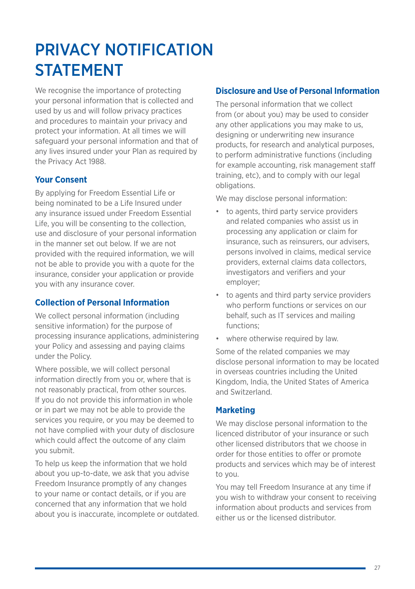## PRIVACY NOTIFICATION **STATEMENT**

We recognise the importance of protecting your personal information that is collected and used by us and will follow privacy practices and procedures to maintain your privacy and protect your information. At all times we will safeguard your personal information and that of any lives insured under your Plan as required by the Privacy Act 1988.

## **Your Consent**

By applying for Freedom Essential Life or being nominated to be a Life Insured under any insurance issued under Freedom Essential Life, you will be consenting to the collection, use and disclosure of your personal information in the manner set out below. If we are not provided with the required information, we will not be able to provide you with a quote for the insurance, consider your application or provide you with any insurance cover.

## **Collection of Personal Information**

We collect personal information (including sensitive information) for the purpose of processing insurance applications, administering your Policy and assessing and paying claims under the Policy.

Where possible, we will collect personal information directly from you or, where that is not reasonably practical, from other sources. If you do not provide this information in whole or in part we may not be able to provide the services you require, or you may be deemed to not have complied with your duty of disclosure which could affect the outcome of any claim you submit.

To help us keep the information that we hold about you up-to-date, we ask that you advise Freedom Insurance promptly of any changes to your name or contact details, or if you are concerned that any information that we hold about you is inaccurate, incomplete or outdated.

## **Disclosure and Use of Personal Information**

The personal information that we collect from (or about you) may be used to consider any other applications you may make to us, designing or underwriting new insurance products, for research and analytical purposes, to perform administrative functions (including for example accounting, risk management staff training, etc), and to comply with our legal obligations.

We may disclose personal information:

- to agents, third party service providers and related companies who assist us in processing any application or claim for insurance, such as reinsurers, our advisers, persons involved in claims, medical service providers, external claims data collectors, investigators and verifiers and your employer;
- to agents and third party service providers who perform functions or services on our behalf, such as IT services and mailing functions;
- where otherwise required by law.

Some of the related companies we may disclose personal information to may be located in overseas countries including the United Kingdom, India, the United States of America and Switzerland.

## **Marketing**

We may disclose personal information to the licenced distributor of your insurance or such other licensed distributors that we choose in order for those entities to offer or promote products and services which may be of interest to you.

You may tell Freedom Insurance at any time if you wish to withdraw your consent to receiving information about products and services from either us or the licensed distributor.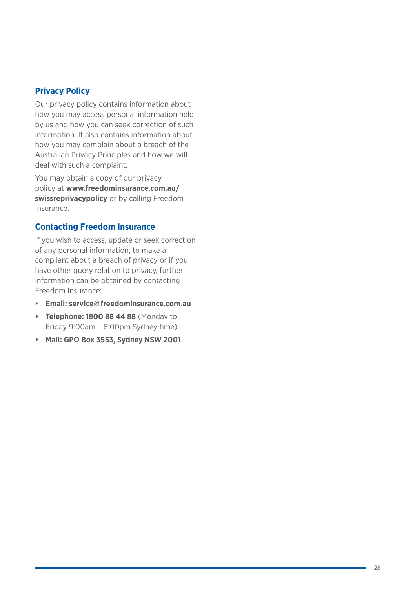#### **Privacy Policy**

Our privacy policy contains information about how you may access personal information held by us and how you can seek correction of such information. It also contains information about how you may complain about a breach of the Australian Privacy Principles and how we will deal with such a complaint.

You may obtain a copy of our privacy policy at **www.freedominsurance.com.au/ swissreprivacypolicy** or by calling Freedom Insurance.

### **Contacting Freedom Insurance**

If you wish to access, update or seek correction of any personal information, to make a compliant about a breach of privacy or if you have other query relation to privacy, further information can be obtained by contacting Freedom Insurance:

- **Email: service@freedominsurance.com.au**
- **• Telephone: 1800 88 44 88** (Monday to Friday 9:00am – 6:00pm Sydney time)
- **• Mail: GPO Box 3553, Sydney NSW 2001**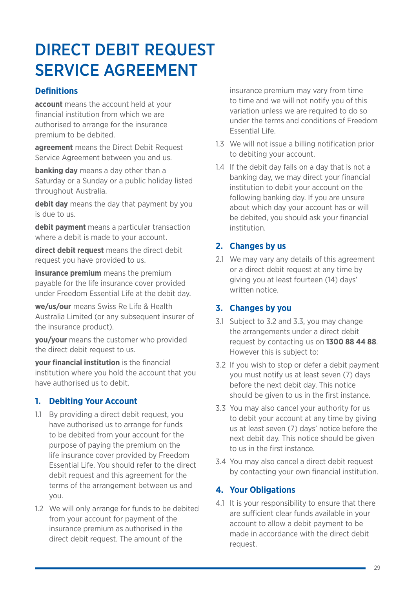## DIRECT DEBIT REQUEST SERVICE AGREEMENT

## **Definitions**

**account** means the account held at your financial institution from which we are authorised to arrange for the insurance premium to be debited.

**agreement** means the Direct Debit Request Service Agreement between you and us.

**banking day** means a day other than a Saturday or a Sunday or a public holiday listed throughout Australia.

**debit day** means the day that payment by you is due to us.

**debit payment** means a particular transaction where a debit is made to your account.

**direct debit request** means the direct debit request you have provided to us.

**insurance premium** means the premium payable for the life insurance cover provided under Freedom Essential Life at the debit day.

**we/us/our** means Swiss Re Life & Health Australia Limited (or any subsequent insurer of the insurance product).

**you/your** means the customer who provided the direct debit request to us.

**your financial institution** is the financial institution where you hold the account that you have authorised us to debit.

## **1. Debiting Your Account**

- 1.1 By providing a direct debit request, you have authorised us to arrange for funds to be debited from your account for the purpose of paying the premium on the life insurance cover provided by Freedom Essential Life. You should refer to the direct debit request and this agreement for the terms of the arrangement between us and you.
- 1.2 We will only arrange for funds to be debited from your account for payment of the insurance premium as authorised in the direct debit request. The amount of the

insurance premium may vary from time to time and we will not notify you of this variation unless we are required to do so under the terms and conditions of Freedom Essential Life.

- 1.3 We will not issue a billing notification prior to debiting your account.
- 1.4 If the debit day falls on a day that is not a banking day, we may direct your financial institution to debit your account on the following banking day. If you are unsure about which day your account has or will be debited, you should ask your financial institution.

## **2. Changes by us**

2.1 We may vary any details of this agreement or a direct debit request at any time by giving you at least fourteen (14) days' written notice.

## **3. Changes by you**

- 3.1 Subject to 3.2 and 3.3, you may change the arrangements under a direct debit request by contacting us on **1300 88 44 88**. However this is subject to:
- 3.2 If you wish to stop or defer a debit payment you must notify us at least seven (7) days before the next debit day. This notice should be given to us in the first instance.
- 3.3 You may also cancel your authority for us to debit your account at any time by giving us at least seven (7) days' notice before the next debit day. This notice should be given to us in the first instance.
- 3.4 You may also cancel a direct debit request by contacting your own financial institution.

## **4. Your Obligations**

4.1 It is your responsibility to ensure that there are sufficient clear funds available in your account to allow a debit payment to be made in accordance with the direct debit request.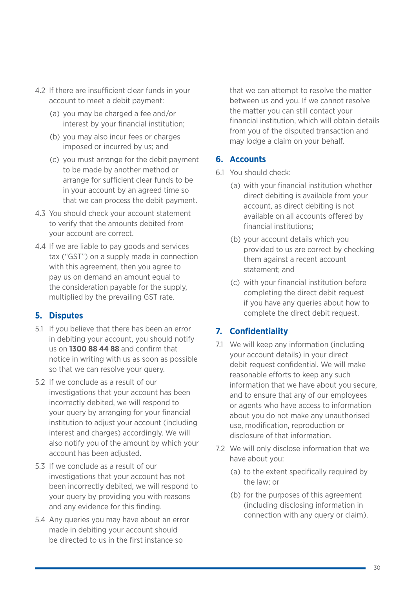- 4.2 If there are insufficient clear funds in your account to meet a debit payment:
	- (a) you may be charged a fee and/or interest by your financial institution;
	- (b) you may also incur fees or charges imposed or incurred by us; and
	- (c) you must arrange for the debit payment to be made by another method or arrange for sufficient clear funds to be in your account by an agreed time so that we can process the debit payment.
- 4.3 You should check your account statement to verify that the amounts debited from your account are correct.
- 4.4 If we are liable to pay goods and services tax ("GST") on a supply made in connection with this agreement, then you agree to pay us on demand an amount equal to the consideration payable for the supply, multiplied by the prevailing GST rate.

## **5. Disputes**

- 5.1 If you believe that there has been an error in debiting your account, you should notify us on **1300 88 44 88** and confirm that notice in writing with us as soon as possible so that we can resolve your query.
- 5.2 If we conclude as a result of our investigations that your account has been incorrectly debited, we will respond to your query by arranging for your financial institution to adjust your account (including interest and charges) accordingly. We will also notify you of the amount by which your account has been adjusted.
- 5.3 If we conclude as a result of our investigations that your account has not been incorrectly debited, we will respond to your query by providing you with reasons and any evidence for this finding.
- 5.4 Any queries you may have about an error made in debiting your account should be directed to us in the first instance so

that we can attempt to resolve the matter between us and you. If we cannot resolve the matter you can still contact your financial institution, which will obtain details from you of the disputed transaction and may lodge a claim on your behalf.

### **6. Accounts**

- 6.1 You should check:
	- (a) with your financial institution whether direct debiting is available from your account, as direct debiting is not available on all accounts offered by financial institutions;
	- (b) your account details which you provided to us are correct by checking them against a recent account statement; and
	- (c) with your financial institution before completing the direct debit request if you have any queries about how to complete the direct debit request.

## **7. Confidentiality**

- 7.1 We will keep any information (including your account details) in your direct debit request confidential. We will make reasonable efforts to keep any such information that we have about you secure, and to ensure that any of our employees or agents who have access to information about you do not make any unauthorised use, modification, reproduction or disclosure of that information.
- 7.2 We will only disclose information that we have about you:
	- (a) to the extent specifically required by the law; or
	- (b) for the purposes of this agreement (including disclosing information in connection with any query or claim).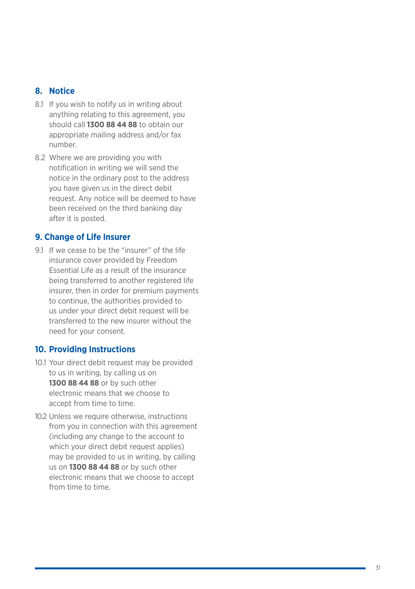#### **8. Notice**

- 8.1 If you wish to notify us in writing about anything relating to this agreement, you should call **1300 88 44 88** to obtain our appropriate mailing address and/or fax number.
- 8.2 Where we are providing you with notification in writing we will send the notice in the ordinary post to the address you have given us in the direct debit request. Any notice will be deemed to have been received on the third banking day after it is posted.

#### **9. Change of Life Insurer**

91 If we cease to be the "insurer" of the life insurance cover provided by Freedom Essential Life as a result of the insurance being transferred to another registered life insurer, then in order for premium payments to continue, the authorities provided to us under your direct debit request will be transferred to the new insurer without the need for your consent.

#### **10. Providing Instructions**

- 10.1 Your direct debit request may be provided to us in writing, by calling us on **1300 88 44 88** or by such other electronic means that we choose to accept from time to time.
- 10.2 Unless we require otherwise, instructions from you in connection with this agreement (including any change to the account to which your direct debit request applies) may be provided to us in writing, by calling us on **1300 88 44 88** or by such other electronic means that we choose to accept from time to time.